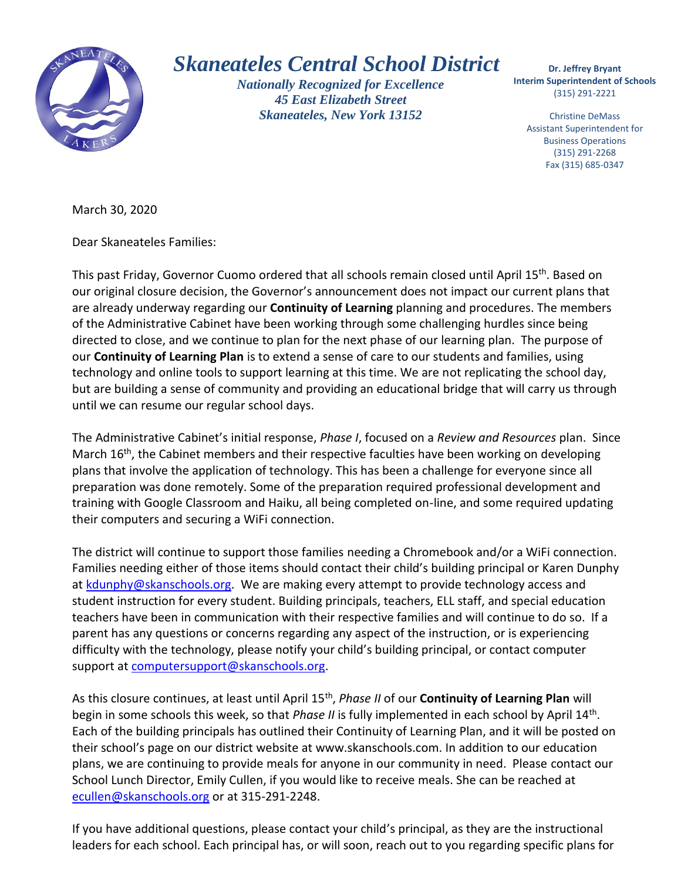

## *Skaneateles Central School District*

*Nationally Recognized for Excellence 45 East Elizabeth Street Skaneateles, New York 13152*

 **Interim Superintendent of Schools Dr. Jeffrey Bryant** (315) 291-2221

Christine DeMass Assistant Superintendent for Business Operations (315) 291-2268 Fax (315) 685-0347

March 30, 2020

Dear Skaneateles Families:

This past Friday, Governor Cuomo ordered that all schools remain closed until April 15<sup>th</sup>. Based on our original closure decision, the Governor's announcement does not impact our current plans that are already underway regarding our **Continuity of Learning** planning and procedures. The members of the Administrative Cabinet have been working through some challenging hurdles since being directed to close, and we continue to plan for the next phase of our learning plan. The purpose of our **Continuity of Learning Plan** is to extend a sense of care to our students and families, using technology and online tools to support learning at this time. We are not replicating the school day, but are building a sense of community and providing an educational bridge that will carry us through until we can resume our regular school days.

The Administrative Cabinet's initial response, *Phase I*, focused on a *Review and Resources* plan. Since March 16<sup>th</sup>, the Cabinet members and their respective faculties have been working on developing plans that involve the application of technology. This has been a challenge for everyone since all preparation was done remotely. Some of the preparation required professional development and training with Google Classroom and Haiku, all being completed on-line, and some required updating their computers and securing a WiFi connection.

The district will continue to support those families needing a Chromebook and/or a WiFi connection. Families needing either of those items should contact their child's building principal or Karen Dunphy at [kdunphy@skanschools.org.](mailto:kdunphy@skanschools.org) We are making every attempt to provide technology access and student instruction for every student. Building principals, teachers, ELL staff, and special education teachers have been in communication with their respective families and will continue to do so. If a parent has any questions or concerns regarding any aspect of the instruction, or is experiencing difficulty with the technology, please notify your child's building principal, or contact computer support at [computersupport@skanschools.org.](mailto:computersupport@skanschools.org)

As this closure continues, at least until April 15<sup>th</sup>, *Phase II* of our **Continuity of Learning Plan** will begin in some schools this week, so that *Phase II* is fully implemented in each school by April 14<sup>th</sup>. Each of the building principals has outlined their Continuity of Learning Plan, and it will be posted on their school's page on our district website at www.skanschools.com. In addition to our education plans, we are continuing to provide meals for anyone in our community in need. Please contact our School Lunch Director, Emily Cullen, if you would like to receive meals. She can be reached at [ecullen@skanschools.org](mailto:ecullen@skanschools.org) or at 315-291-2248.

If you have additional questions, please contact your child's principal, as they are the instructional leaders for each school. Each principal has, or will soon, reach out to you regarding specific plans for